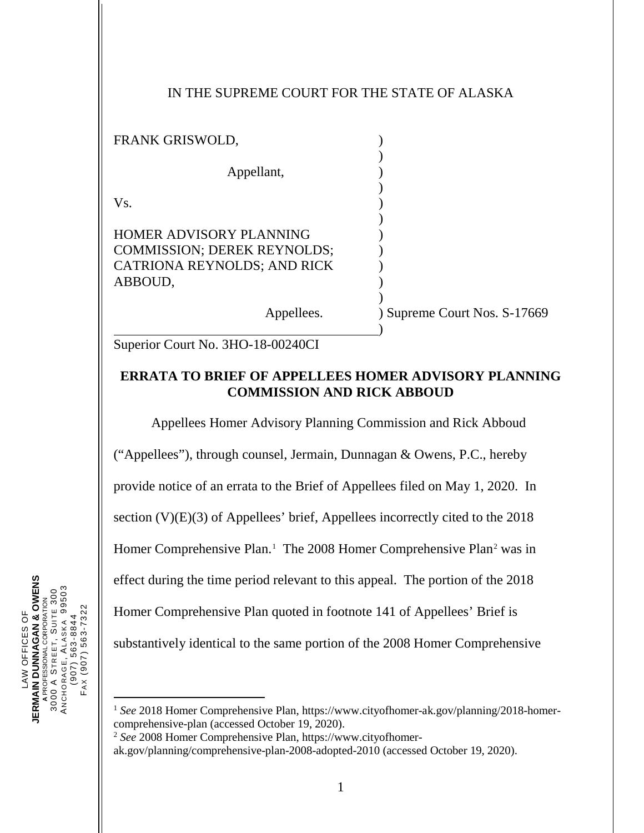## IN THE SUPREME COURT FOR THE STATE OF ALASKA

| FRANK GRISWOLD,                                                                                                |                              |
|----------------------------------------------------------------------------------------------------------------|------------------------------|
| Appellant,                                                                                                     |                              |
| Vs.                                                                                                            |                              |
| <b>HOMER ADVISORY PLANNING</b><br><b>COMMISSION; DEREK REYNOLDS;</b><br>CATRIONA REYNOLDS; AND RICK<br>ABBOUD, |                              |
| Appellees.                                                                                                     | ) Supreme Court Nos. S-17669 |

Superior Court No. 3HO-18-00240CI

## **ERRATA TO BRIEF OF APPELLEES HOMER ADVISORY PLANNING COMMISSION AND RICK ABBOUD**

Appellees Homer Advisory Planning Commission and Rick Abboud ("Appellees"), through counsel, Jermain, Dunnagan & Owens, P.C., hereby provide notice of an errata to the Brief of Appellees filed on May 1, 2020. In section (V)(E)(3) of Appellees' brief, Appellees incorrectly cited to the 2018 Homer Comprehensive Plan.<sup>[1](#page-0-0)</sup> The [2](#page-0-1)008 Homer Comprehensive Plan<sup>2</sup> was in effect during the time period relevant to this appeal. The portion of the 2018 Homer Comprehensive Plan quoted in footnote 141 of Appellees' Brief is substantively identical to the same portion of the 2008 Homer Comprehensive

<span id="page-0-1"></span><span id="page-0-0"></span><sup>2</sup> *See* 2008 Homer Comprehensive Plan, https://www.cityofhomer-

ak.gov/planning/comprehensive-plan-2008-adopted-2010 (accessed October 19, 2020).